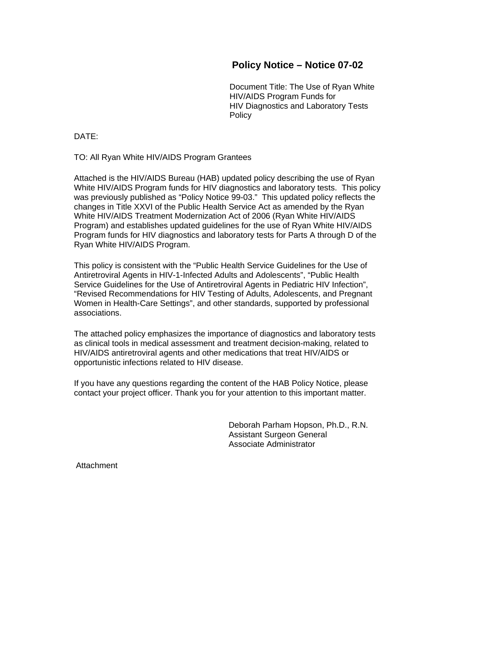## **Policy Notice – Notice 07-02**

Document Title: The Use of Ryan White HIV/AIDS Program Funds for HIV Diagnostics and Laboratory Tests Policy

DATE:

TO: All Ryan White HIV/AIDS Program Grantees

Attached is the HIV/AIDS Bureau (HAB) updated policy describing the use of Ryan White HIV/AIDS Program funds for HIV diagnostics and laboratory tests. This policy was previously published as "Policy Notice 99-03." This updated policy reflects the changes in Title XXVI of the Public Health Service Act as amended by the Ryan White HIV/AIDS Treatment Modernization Act of 2006 (Ryan White HIV/AIDS Program) and establishes updated guidelines for the use of Ryan White HIV/AIDS Program funds for HIV diagnostics and laboratory tests for Parts A through D of the Ryan White HIV/AIDS Program.

This policy is consistent with the "Public Health Service Guidelines for the Use of Antiretroviral Agents in HIV-1-Infected Adults and Adolescents", "Public Health Service Guidelines for the Use of Antiretroviral Agents in Pediatric HIV Infection", "Revised Recommendations for HIV Testing of Adults, Adolescents, and Pregnant Women in Health-Care Settings", and other standards, supported by professional associations.

The attached policy emphasizes the importance of diagnostics and laboratory tests as clinical tools in medical assessment and treatment decision-making, related to HIV/AIDS antiretroviral agents and other medications that treat HIV/AIDS or opportunistic infections related to HIV disease.

If you have any questions regarding the content of the HAB Policy Notice, please contact your project officer. Thank you for your attention to this important matter.

> Deborah Parham Hopson, Ph.D., R.N. Assistant Surgeon General Associate Administrator

Attachment